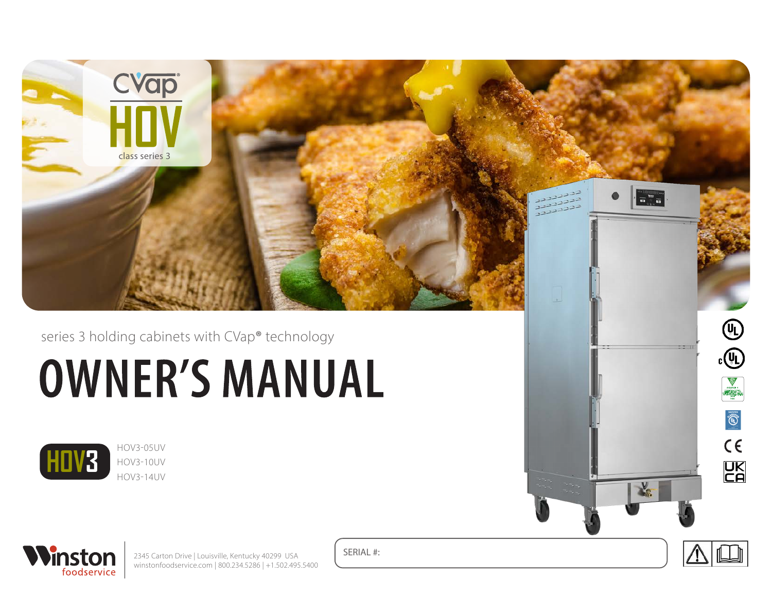

series 3 holding cabinets with CVap**®** technology

# **OWNER'S MANUAL**



HOV3-05UV HOV3-10UV HOV3-14UV



2345 Carton Drive | Louisville, Kentucky 40299 USA winstonfoodservice.com | 800.234.5286 | +1.502.495.5400 SERIAL #:



COMMERCIAL COOKING, RETHERMALIZATION, AND POWERED HOT FOOD HOLDING AND TRANSPORT EQUIPMENT (TSQT) 1N50 ANSI/NSF 4

 $C \in$ 

**UK**<br>CA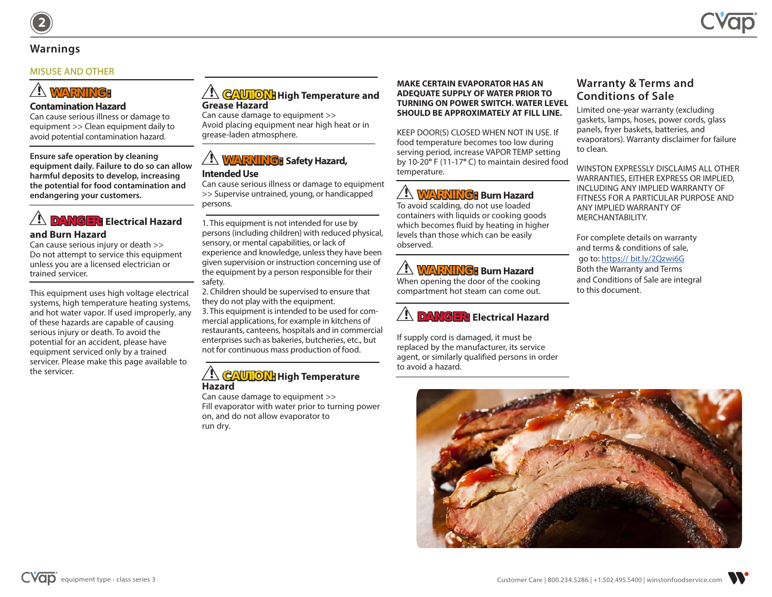# **Warnings**

#### MISUSE AND OTHER

# **! WARNING:**

#### **Contamination Hazard**

Can cause serious illness or damage to equipment >> Clean equipment daily to avoid potential contamination hazard.

**Ensure safe operation by cleaning equipment daily. Failure to do so can allow harmful deposits to develop, increasing the potential for food contamination and endangering your customers.**

# **! DANGER: Electrical Hazard and Burn Hazard**

Can cause serious injury or death >> Do not attempt to service this equipment unless you are a licensed electrician or trained servicer.

This equipment uses high voltage electrical systems, high temperature heating systems, and hot water vapor. If used improperly, any of these hazards are capable of causing serious injury or death. To avoid the potential for an accident, please have equipment serviced only by a trained servicer. Please make this page available to the servicer.

#### **! CAUTION: High Temperature and Grease Hazard**

Can cause damage to equipment >> Avoid placing equipment near high heat or in grease-laden atmosphere.

# **! WARNING: Safety Hazard,**

#### **Intended Use**

Can cause serious illness or damage to equipment >> Supervise untrained, young, or handicapped persons.

1. This equipment is not intended for use by persons (including children) with reduced physical, sensory, or mental capabilities, or lack of experience and knowledge, unless they have been given supervision or instruction concerning use of the equipment by a person responsible for their safety.

2. Children should be supervised to ensure that they do not play with the equipment. 3. This equipment is intended to be used for commercial applications, for example in kitchens of restaurants, canteens, hospitals and in commercial enterprises such as bakeries, butcheries, etc., but not for continuous mass production of food.

### **! CAUTION: High Temperature Hazard**

Can cause damage to equipment >> Fill evaporator with water prior to turning power on, and do not allow evaporator to run dry.

#### **MAKE CERTAIN EVAPORATOR HAS AN ADEQUATE SUPPLY OF WATER PRIOR TO TURNING ON POWER SWITCH. WATER LEVEL SHOULD BE APPROXIMATELY AT FILL LINE.**

KEEP DOOR(S) CLOSED WHEN NOT IN USE. If food temperature becomes too low during serving period, increase VAPOR TEMP setting by 10-20**°** F (11-17**°** C) to maintain desired food temperature.

# **! WARNING: Burn Hazard**

To avoid scalding, do not use loaded containers with liquids or cooking goods which becomes fluid by heating in higher levels than those which can be easily observed.

# **! WARNING: Burn Hazard**

When opening the door of the cooking compartment hot steam can come out.

# **! DANGER: Electrical Hazard**

If supply cord is damaged, it must be replaced by the manufacturer, its service agent, or similarly qualified persons in order to avoid a hazard.

# **Warranty & Terms and Conditions of Sale**

Limited one-year warranty (excluding gaskets, lamps, hoses, power cords, glass panels, fryer baskets, batteries, and evaporators). Warranty disclaimer for failure to clean.

WINSTON EXPRESSLY DISCLAIMS ALL OTHER WARRANTIES, EITHER EXPRESS OR IMPLIED, INCLUDING ANY IMPLIED WARRANTY OF FITNESS FOR A PARTICULAR PURPOSE AND ANY IMPLIED WARRANTY OF MERCHANTABILITY.

For complete details on warranty and terms & conditions of sale, go to: https:// bit.ly/2Qzwi6G Both the Warranty and Terms and Conditions of Sale are integral to this document.





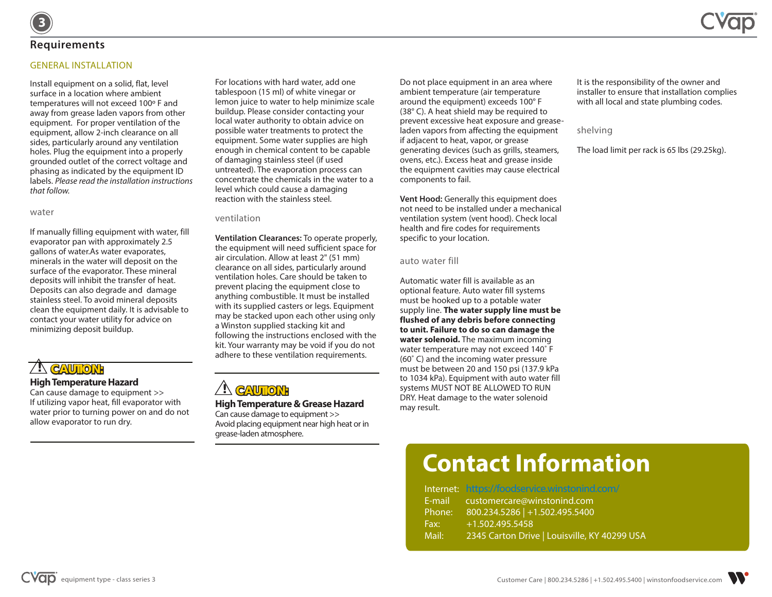## **Requirements**

**3**

#### **GENERAL INSTALLATION**

Install equipment on a solid, flat, level surface in a location where ambient temperatures will not exceed 100° F and away from grease laden vapors from other equipment. For proper ventilation of the equipment, allow 2-inch clearance on all sides, particularly around any ventilation holes. Plug the equipment into a properly grounded outlet of the correct voltage and phasing as indicated by the equipment ID labels. *Please read the installation instructions that follow.*

#### water

If manually filling equipment with water, fill evaporator pan with approximately 2.5 gallons of water.As water evaporates, minerals in the water will deposit on the surface of the evaporator. These mineral deposits will inhibit the transfer of heat. Deposits can also degrade and damage stainless steel. To avoid mineral deposits clean the equipment daily. It is advisable to contact your water utility for advice on minimizing deposit buildup.

## **! CAUTION: High Temperature Hazard**

Can cause damage to equipment >> If utilizing vapor heat, fill evaporator with water prior to turning power on and do not allow evaporator to run dry.

For locations with hard water, add one tablespoon (15 ml) of white vinegar or lemon juice to water to help minimize scale buildup. Please consider contacting your local water authority to obtain advice on possible water treatments to protect the equipment. Some water supplies are high enough in chemical content to be capable of damaging stainless steel (if used untreated). The evaporation process can concentrate the chemicals in the water to a level which could cause a damaging reaction with the stainless steel.

#### ventilation

**Ventilation Clearances:** To operate properly, the equipment will need sufficient space for air circulation. Allow at least 2" (51 mm) clearance on all sides, particularly around ventilation holes. Care should be taken to prevent placing the equipment close to anything combustible. It must be installed with its supplied casters or legs. Equipment may be stacked upon each other using only a Winston supplied stacking kit and following the instructions enclosed with the kit. Your warranty may be void if you do not adhere to these ventilation requirements.

# **! CAUTION:**

#### **High Temperature & Grease Hazard**

Can cause damage to equipment >> Avoid placing equipment near high heat or in grease-laden atmosphere.

Do not place equipment in an area where ambient temperature (air temperature around the equipment) exceeds 100° F (38° C). A heat shield may be required to prevent excessive heat exposure and greaseladen vapors from affecting the equipment if adjacent to heat, vapor, or grease generating devices (such as grills, steamers, ovens, etc.). Excess heat and grease inside the equipment cavities may cause electrical components to fail.

**Vent Hood:** Generally this equipment does not need to be installed under a mechanical ventilation system (vent hood). Check local health and fire codes for requirements specific to your location.

#### auto water fill

Automatic water fill is available as an optional feature. Auto water fill systems must be hooked up to a potable water supply line. **The water supply line must be flushed of any debris before connecting to unit. Failure to do so can damage the water solenoid.** The maximum incoming water temperature may not exceed 140˚ F (60˚ C) and the incoming water pressure must be between 20 and 150 psi (137.9 kPa to 1034 kPa). Equipment with auto water fill systems MUST NOT BE ALLOWED TO RUN DRY. Heat damage to the water solenoid may result.

It is the responsibility of the owner and installer to ensure that installation complies with all local and state plumbing codes.

#### shelving

The load limit per rack is 65 lbs (29.25kg).

# **Contact Information**

|        | Internet: https://foodservice.winstonind.com/ |
|--------|-----------------------------------------------|
|        | E-mail customercare@winstonind.com            |
| Phone: | 800.234.5286   +1.502.495.5400                |
| Fax:   | +1.502.495.5458                               |
| Mail:  | 2345 Carton Drive   Louisville, KY 40299 USA  |

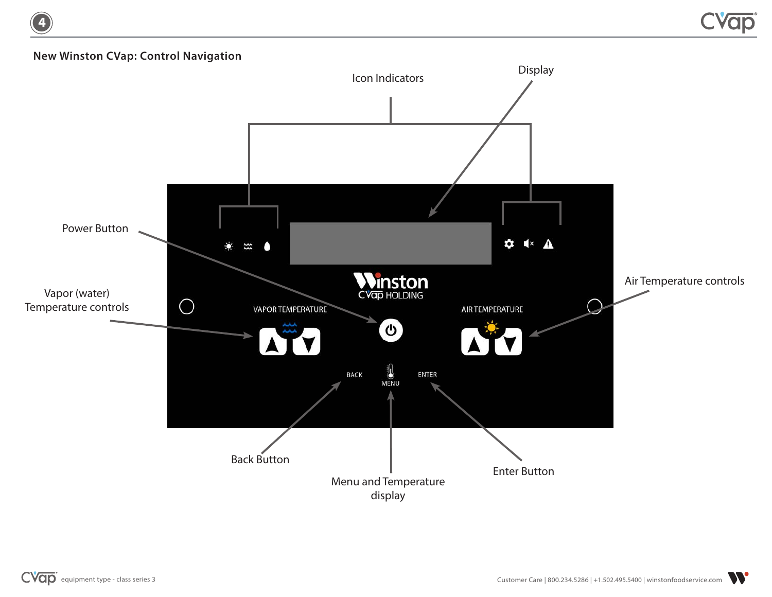# **New Winston CVap: Control Navigation**

**4**

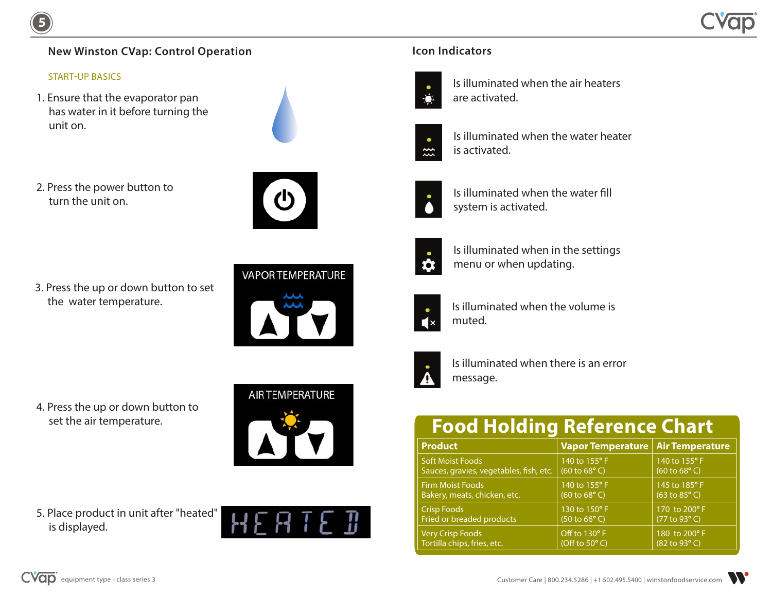# **New Winston CVap: Control Operation**

#### START-UP BASICS

**5**

1. Ensure that the evaporator pan has water in it before turning the unit on.



2. Press the power button to turn the unit on.

3. Press the up or down button to set the water temperature.



# **VAPOR TEMPERATURE**



4. Press the up or down button to set the air temperature.



5. Place product in unit after "heated" is displayed.



# **Icon Indicators**



Is illuminated when the air heaters are activated.



Is illuminated when the water heater is activated.



Is illuminated when the water fill system is activated.



Is illuminated when in the settings menu or when updating.



Is illuminated when the volume is muted.



Is illuminated when there is an error message.

# **Food Holding Reference Chart**

| <b>Product</b>                          | Vapor Temperature   Air Temperature |                           |
|-----------------------------------------|-------------------------------------|---------------------------|
| <b>Soft Moist Foods</b>                 | 140 to 155° F                       | 140 to 155° F             |
| Sauces, gravies, vegetables, fish, etc. | (60 to 68 <sup>o</sup> )            | (60 to 68 <sup>o</sup> )  |
| <b>Firm Moist Foods</b>                 | 140 to 155° F                       | 145 to 185° F             |
| Bakery, meats, chicken, etc.            | (60 to 68 <sup>o</sup> )            | (63 to 85 <sup>o</sup> C) |
| <b>Crisp Foods</b>                      | 130 to 150° F                       | 170 to 200° F             |
| Fried or breaded products               | (50 to 66° C)                       | (77 to 93°C)              |
| Very Crisp Foods                        | Off to 130°F                        | 180 to 200° F             |
| Tortilla chips, fries, etc.             | (Off to $50^{\circ}$ C)             | (82 to 93°C)              |

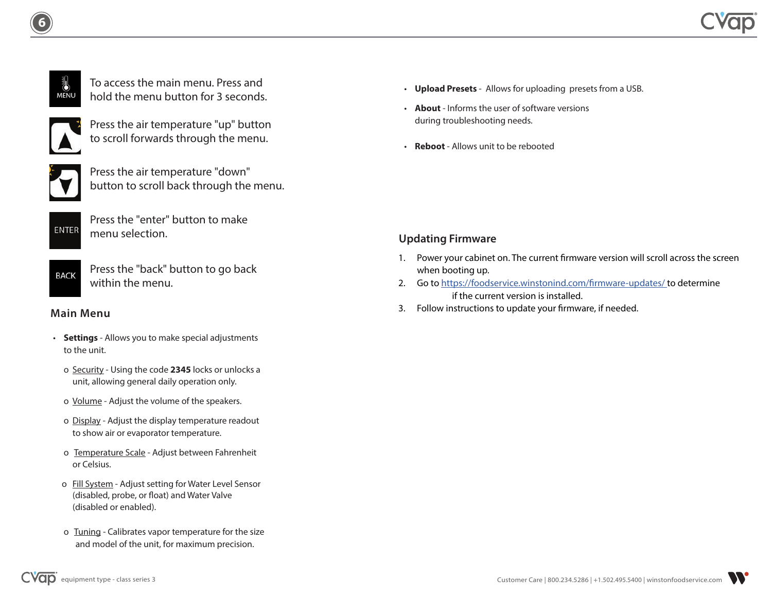

**6**

| To access the main menu. Press and  |
|-------------------------------------|
| hold the menu button for 3 seconds. |



Press the air temperature "up" button to scroll forwards through the menu.



Press the air temperature "down" button to scroll back through the menu.



Press the "enter" button to make menu selection.

**BACK** 

Press the "back" button to go back within the menu.

- **Settings** Allows you to make special adjustments to the unit.
	- o Security Using the code **2345** locks or unlocks a unit, allowing general daily operation only.
	- o Volume Adjust the volume of the speakers.
	- o Display Adjust the display temperature readout to show air or evaporator temperature.
	- o Temperature Scale Adjust between Fahrenheit or Celsius.
	- o Fill System Adjust setting for Water Level Sensor (disabled, probe, or float) and Water Valve (disabled or enabled).
	- o Tuning Calibrates vapor temperature for the size and model of the unit, for maximum precision.
- **Upload Presets** Allows for uploading presets from a USB.
- **About** Informs the user of software versions during troubleshooting needs.
- **Reboot** Allows unit to be rebooted

# **Updating Firmware**

- 1. Power your cabinet on. The current firmware version will scroll across the screen when booting up.
- 2. Go to https://foodservice.winstonind.com/firmware-updates/ to determine if the current version is installed.
- 3. Follow instructions to update your firmware, if needed. **Main Menu**

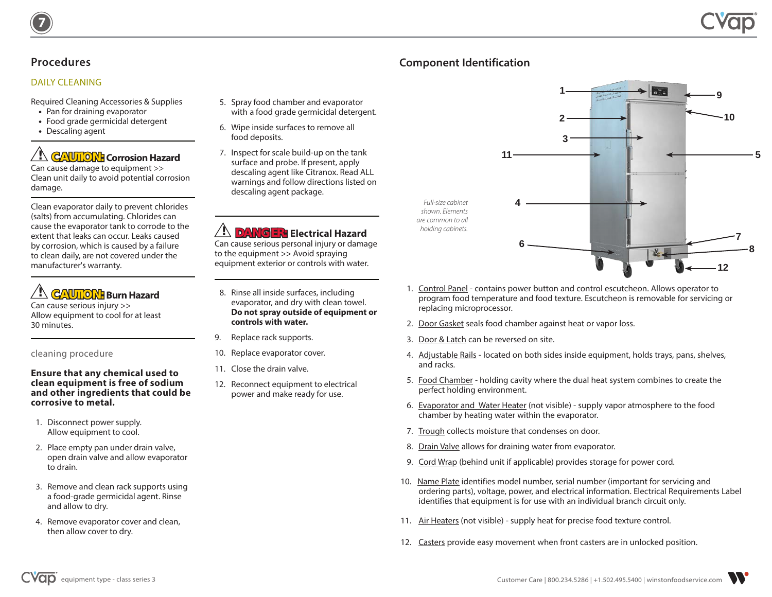# **Procedures**

**7**

#### DAILY CLEANING

Required Cleaning Accessories & Supplies

- **•** Pan for draining evaporator
- **•** Food grade germicidal detergent
- **•** Descaling agent

# **! CAUTION: Corrosion Hazard**  Can cause damage to equipment >>

Clean unit daily to avoid potential corrosion damage.

Clean evaporator daily to prevent chlorides (salts) from accumulating. Chlorides can cause the evaporator tank to corrode to the extent that leaks can occur. Leaks caused by corrosion, which is caused by a failure to clean daily, are not covered under the manufacturer's warranty.

**! CAUTION: Burn Hazard** 

Can cause serious injury >> Allow equipment to cool for at least 30 minutes.

#### cleaning procedure

#### **Ensure that any chemical used to clean equipment is free of sodium and other ingredients that could be corrosive to metal.**

- 1. Disconnect power supply. Allow equipment to cool.
- 2. Place empty pan under drain valve, open drain valve and allow evaporator to drain.
- 3. Remove and clean rack supports using a food-grade germicidal agent. Rinse and allow to dry.
- 4. Remove evaporator cover and clean, then allow cover to dry.
- 5. Spray food chamber and evaporator with a food grade germicidal detergent.
- 6. Wipe inside surfaces to remove all food deposits.
- 7. Inspect for scale build-up on the tank surface and probe. If present, apply descaling agent like Citranox. Read ALL warnings and follow directions listed on descaling agent package.

# **! DANGER: Electrical Hazard**

Can cause serious personal injury or damage to the equipment >> Avoid spraying equipment exterior or controls with water.

- 8. Rinse all inside surfaces, including evaporator, and dry with clean towel. **Do not spray outside of equipment or controls with water.**
- 9. Replace rack supports.
- 10. Replace evaporator cover.
- 11. Close the drain valve.
- 12. Reconnect equipment to electrical power and make ready for use.



- 1. Control Panel contains power button and control escutcheon. Allows operator to program food temperature and food texture. Escutcheon is removable for servicing or replacing microprocessor.
- 2. Door Gasket seals food chamber against heat or vapor loss.
- 3. Door & Latch can be reversed on site.

**Component Identification**

- 4. Adjustable Rails located on both sides inside equipment, holds trays, pans, shelves, and racks.
- 5. Food Chamber holding cavity where the dual heat system combines to create the perfect holding environment.
- 6. Evaporator and Water Heater (not visible) supply vapor atmosphere to the food chamber by heating water within the evaporator.
- 7. Trough collects moisture that condenses on door.
- 8. Drain Valve allows for draining water from evaporator.
- 9. Cord Wrap (behind unit if applicable) provides storage for power cord.
- 10. Name Plate identifies model number, serial number (important for servicing and ordering parts), voltage, power, and electrical information. Electrical Requirements Label identifies that equipment is for use with an individual branch circuit only.
- 11. Air Heaters (not visible) supply heat for precise food texture control.
- 12. Casters provide easy movement when front casters are in unlocked position.

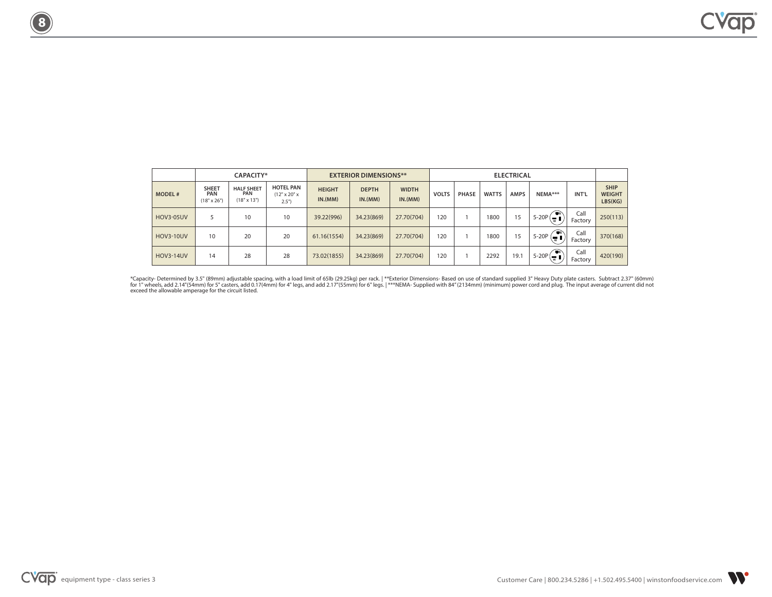|                  | CAPACITY*                                 |                                                       |                                                      | <b>EXTERIOR DIMENSIONS**</b> |                         |                         | <b>ELECTRICAL</b> |              |              |             |                                 |                 |                                         |
|------------------|-------------------------------------------|-------------------------------------------------------|------------------------------------------------------|------------------------------|-------------------------|-------------------------|-------------------|--------------|--------------|-------------|---------------------------------|-----------------|-----------------------------------------|
| <b>MODEL#</b>    | <b>SHEET</b><br>PAN<br>$(18" \times 26")$ | <b>HALF SHEET</b><br><b>PAN</b><br>$(18" \times 13")$ | <b>HOTEL PAN</b><br>$(12" \times 20" \times$<br>2.5" | <b>HEIGHT</b><br>IN.(MM)     | <b>DEPTH</b><br>IN.(MM) | <b>WIDTH</b><br>IN.(MM) | <b>VOLTS</b>      | <b>PHASE</b> | <b>WATTS</b> | <b>AMPS</b> | NEMA***                         | INT'L           | <b>SHIP</b><br><b>WEIGHT</b><br>LBS(KG) |
| <b>HOV3-05UV</b> |                                           | 10                                                    | 10                                                   | 39.22(996)                   | 34.23(869)              | 27.70(704)              | 120               |              | 1800         | 15          | ั∎∂<br>$5-20P(\frac{1}{w})$     | Call<br>Factory | 250(113)                                |
| <b>HOV3-10UV</b> | 10                                        | 20                                                    | 20                                                   | 61.16(1554)                  | 34.23(869)              | 27.70(704)              | 120               |              | 1800         | 15          | ∙∘<br>$5-20P$<br>$\overline{w}$ | Call<br>Factory | 370(168)                                |
| <b>HOV3-14UV</b> | 14                                        | 28                                                    | 28                                                   | 73.02(1855)                  | 34.23(869)              | 27.70(704)              | 120               |              | 2292         | 19.1        | ☜<br>$5-20P(\frac{1}{w})$       | Call<br>Factory | 420(190)                                |

\*Capacity- Determined by 3.5" (89mm) adjustable spacing, with a load limit of 65lb (29.25kg) per rack. | \*\*Exterior Dimensions- Based on use of standard supplied 3" Heavy Duty plate casters. Subtract 2.37" (60mm)<br>for 1" wh

**8**